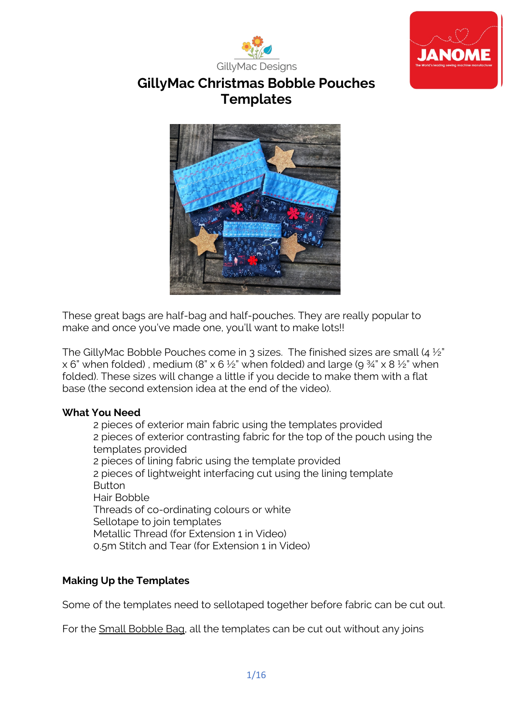



# **GillyMac Christmas Bobble Pouches Templates**



These great bags are half-bag and half-pouches. They are really popular to make and once you've made one, you'll want to make lots!!

The GillyMac Bobble Pouches come in 3 sizes. The finished sizes are small (4 ½" x 6" when folded), medium (8" x 6  $\frac{1}{2}$ " when folded) and large (9  $\frac{3}{4}$ " x 8  $\frac{1}{2}$ " when folded). These sizes will change a little if you decide to make them with a flat base (the second extension idea at the end of the video).

## **What You Need**

2 pieces of exterior main fabric using the templates provided 2 pieces of exterior contrasting fabric for the top of the pouch using the templates provided 2 pieces of lining fabric using the template provided 2 pieces of lightweight interfacing cut using the lining template Button Hair Bobble Threads of co-ordinating colours or white Sellotape to join templates Metallic Thread (for Extension 1 in Video) 0.5m Stitch and Tear (for Extension 1 in Video)

## **Making Up the Templates**

Some of the templates need to sellotaped together before fabric can be cut out.

For the Small Bobble Bag, all the templates can be cut out without any joins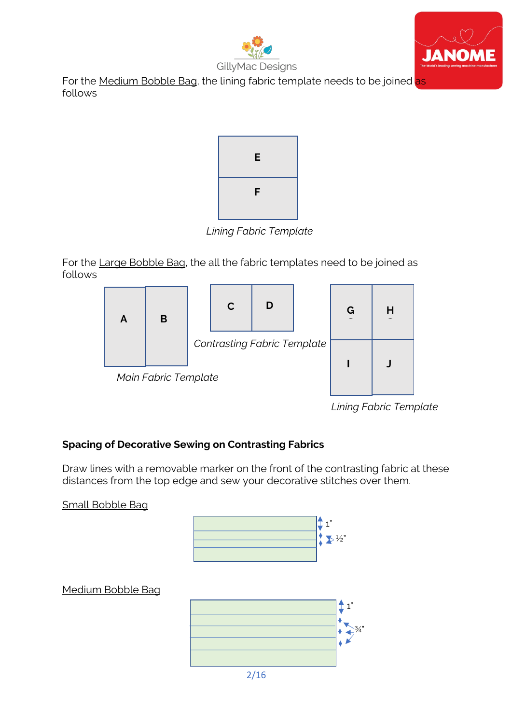



For the Medium Bobble Bag, the lining fabric template needs to be joined as follows



*Lining Fabric Template*

For the Large Bobble Bag, the all the fabric templates need to be joined as follows



*Lining Fabric Template*

## **Spacing of Decorative Sewing on Contrasting Fabrics**

Draw lines with a removable marker on the front of the contrasting fabric at these distances from the top edge and sew your decorative stitches over them.

Small Bobble Bag



## Medium Bobble Bag

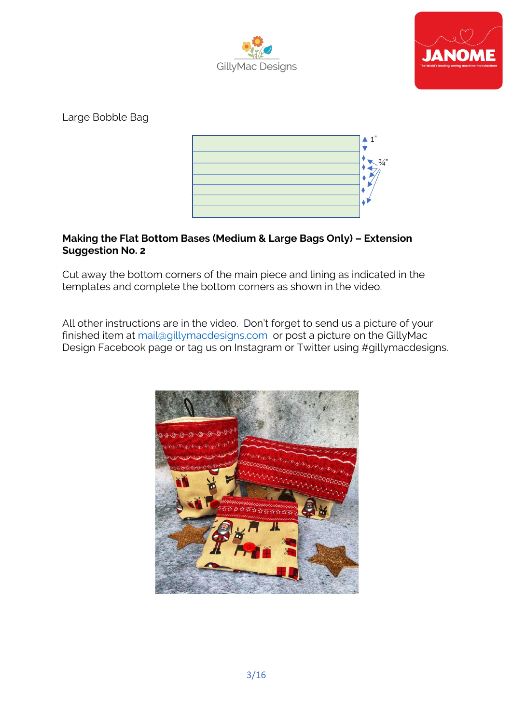



Large Bobble Bag



#### **Making the Flat Bottom Bases (Medium & Large Bags Only) – Extension Suggestion No. 2**

Cut away the bottom corners of the main piece and lining as indicated in the templates and complete the bottom corners as shown in the video.

All other instructions are in the video. Don't forget to send us a picture of your finished item at mail@gillymacdesigns.com or post a picture on the GillyMac Design Facebook page or tag us on Instagram or Twitter using #gillymacdesigns.

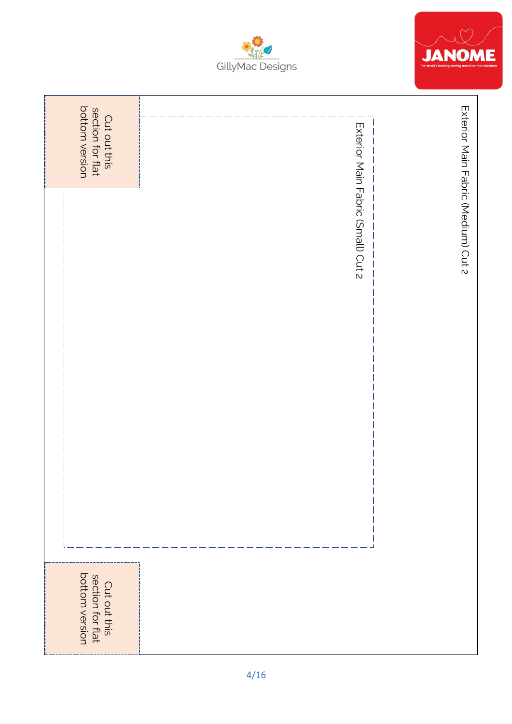



| Cut out this<br>section for flat<br>bottom version |                                    |                                     |
|----------------------------------------------------|------------------------------------|-------------------------------------|
|                                                    | Exterior Main Fabric (Small) Cut 2 | Exterior Main Fabric (Medium) Cut 2 |
|                                                    |                                    |                                     |
|                                                    |                                    |                                     |
|                                                    |                                    |                                     |
| Cut out this<br>section for flat<br>bottom version |                                    |                                     |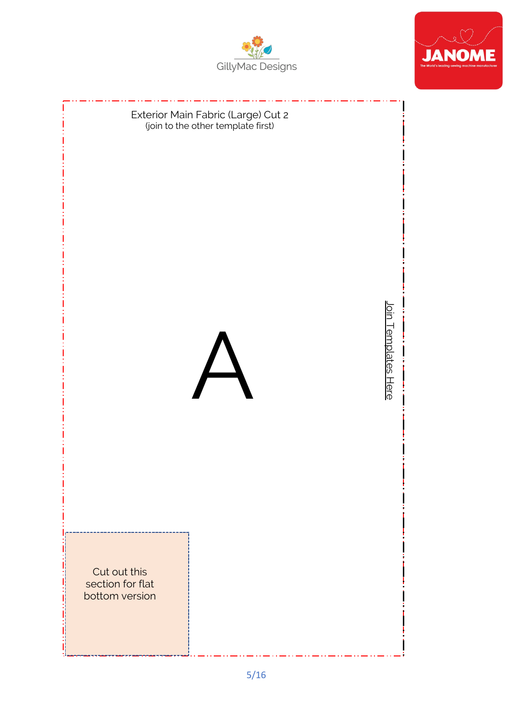



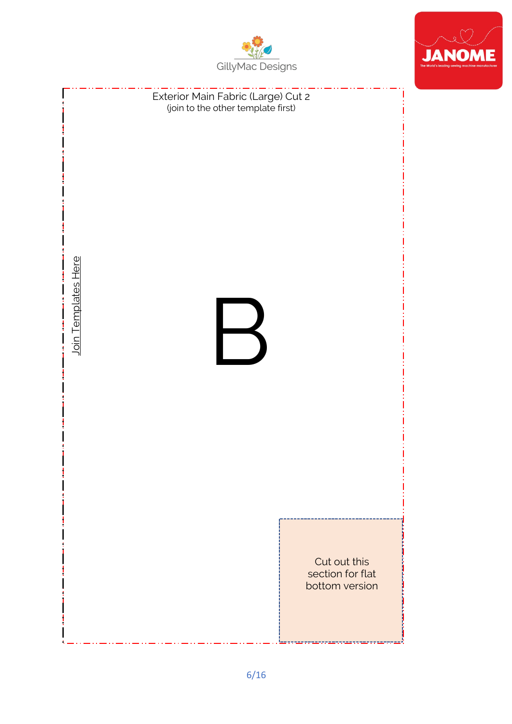



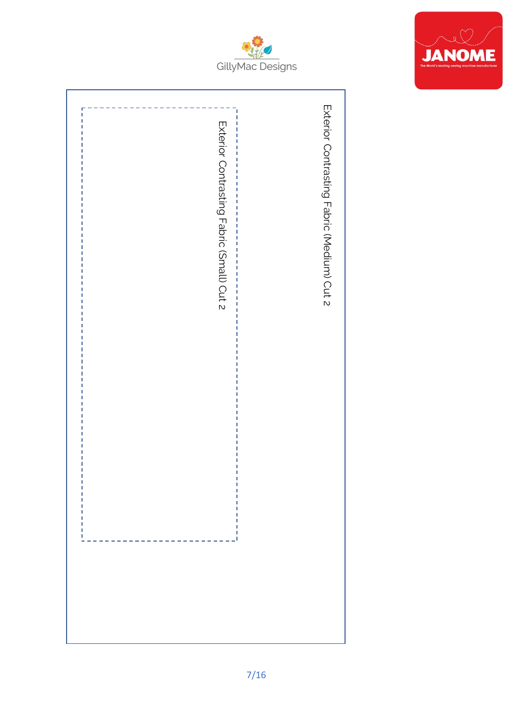



| Exterior Contrasting Fabric (Small) Cut 2 | Exterior Contrasting Fabric (Medium) Cut 2<br>ľ<br>I<br>$\frac{1}{1}$<br>Ï<br>I<br>j<br>$\frac{1}{1}$<br>j<br>I<br>$\frac{1}{1}$<br>I<br>I<br>ì<br>Ï<br>$\frac{1}{1}$<br>Ï<br>$\frac{1}{1}$<br>Ï<br>Ï<br>Ï<br>J<br>ı |  |
|-------------------------------------------|----------------------------------------------------------------------------------------------------------------------------------------------------------------------------------------------------------------------|--|
|                                           |                                                                                                                                                                                                                      |  |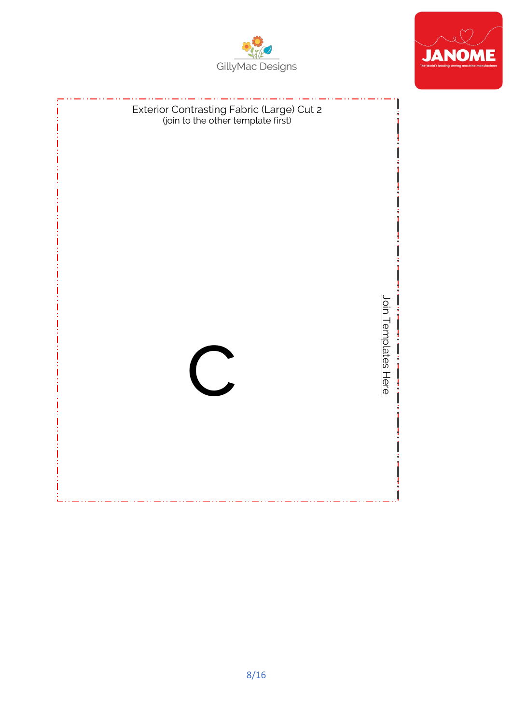



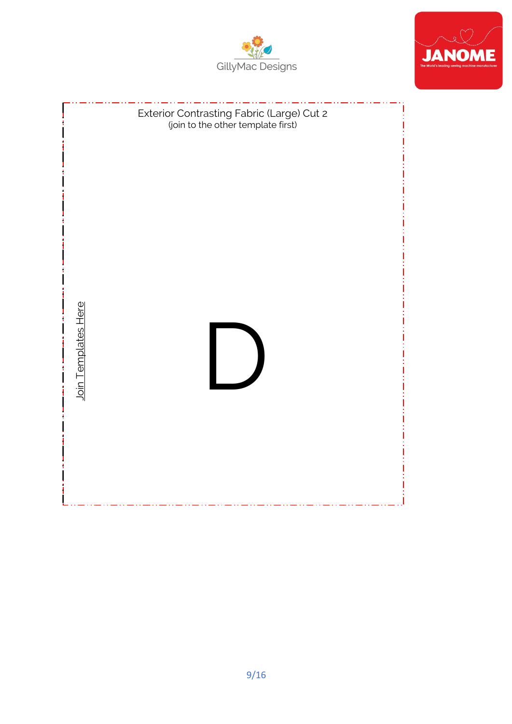



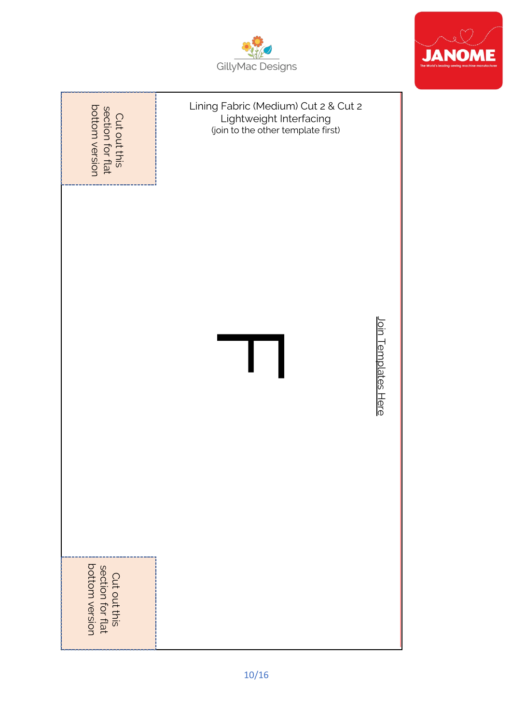

**JANOME** 



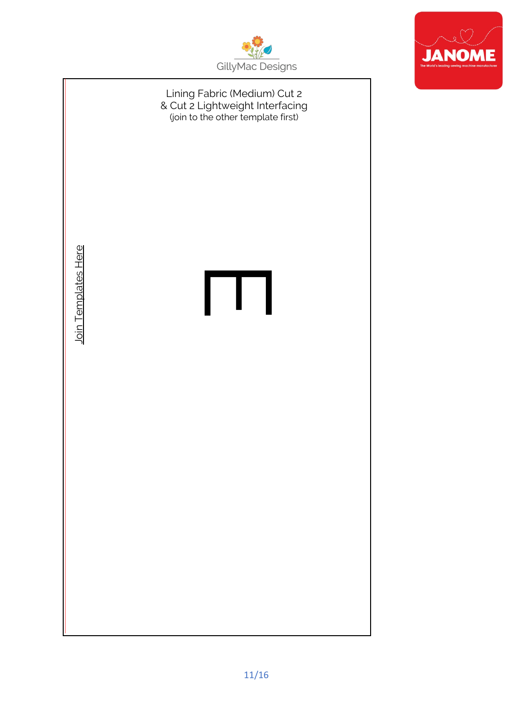



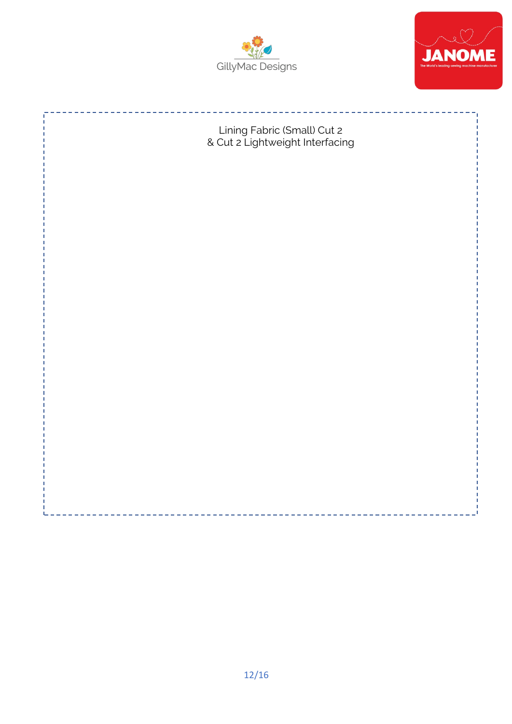



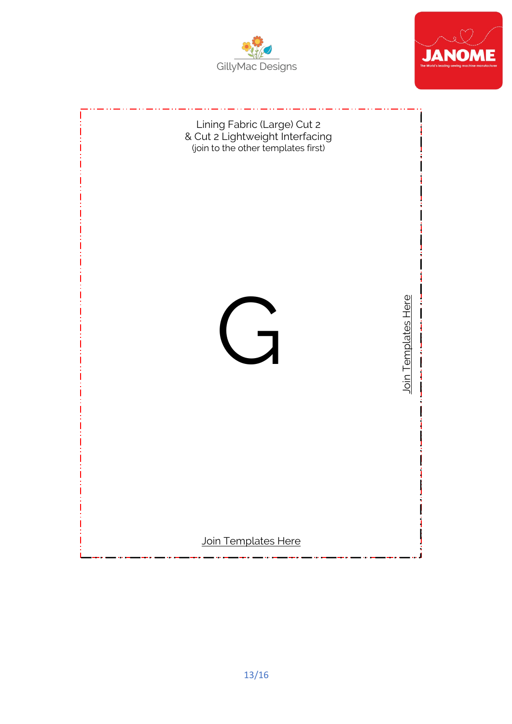



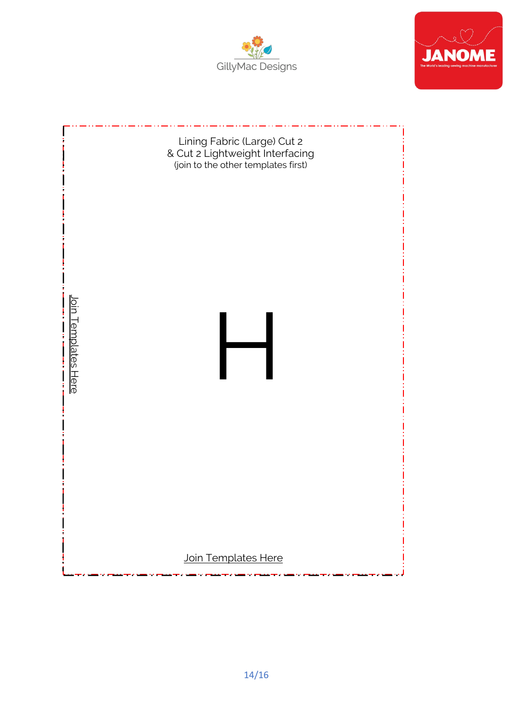



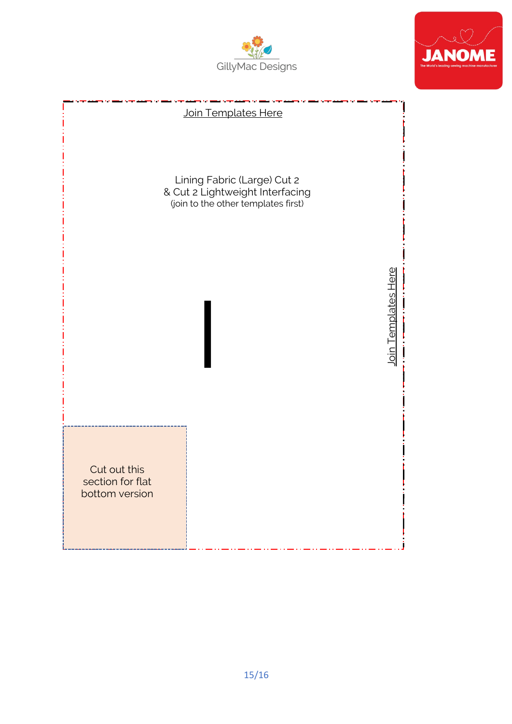